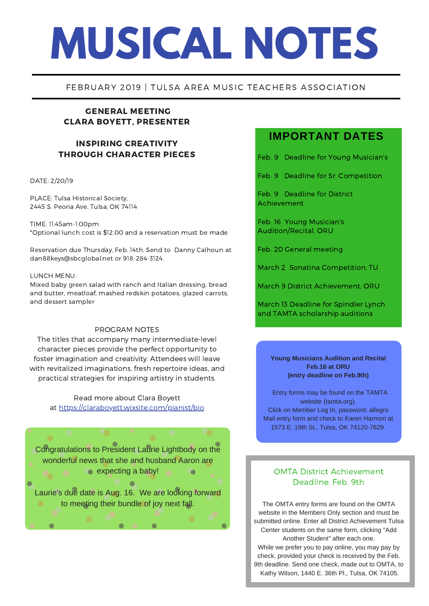# **MUSICAL NOTES**

### FEBRUARY 2019 | TULSA AREA MUSIC TEACHERS ASSOCIATION

# GENERAL MEETING CLARA BOYETT, PRESENTER

## INSPIRING CREATIVITY THROUGH CHARACTER PIECES

#### DATE: 2/20/19

PLACE: Tulsa Historical Society, 2445 S. Peoria Ave, Tulsa, OK 74114

TIME: 11:45am-1:00pm \*Optional lunch cost is \$12.00 and a reservation must be made

Reservation due Thursday, Feb. 14th. Send to Danny Calhoun at dan88keys@sbcglobal.net or 918-284-3124.

#### LUNCH MENU:

Mixed baby green salad with ranch and Italian dressing, bread and butter, meatloaf, mashed redskin potatoes, glazed carrots, and dessert sampler

#### PROGRAM NOTES

The titles that accompany many intermediate-level character pieces provide the perfect opportunity to foster imagination and creativity. Attendees will leave with revitalized imaginations, fresh repertoire ideas, and practical strategies for inspiring artistry in students.

> Read more about Clara Boyett at <https://claraboyett.wixsite.com/pianist/bio>

Congratulations to President Laurie Lightbody on the wonderful news that she and husband Aaron are  $\bullet$  expecting a baby!  $\ddot{\phantom{1}}$ 

Laurie's due date is Aug. 16. We are looking forward to meeting their bundle of joy next fall.

# **IMPORTANT DATES**

Feb. 9 Deadline for Young Musician's

Feb. 9 Deadline for Sr. Competition

Feb. 9 Deadline for District Achievement

Feb. 16 Young Musician's Audition/Recital, ORU

Feb. 20 General meeting

March 2 Sonatina Competition, TU

March 9 District Achievement, ORU

March 13 Deadline for Spindler Lynch and TAMTA scholarship auditions

**Young Musicians Audition and Recital Feb.16 at ORU (entry deadline on Feb.9th)**

Entry forms may be found on the TAMTA website (tamta.org). Click on Member Log In, password: allegro Mail entry form and check to Karen Harmon at 1573 E. 19th St., Tulsa, OK 74120-7629.

# OMTA District Achievement Deadline: Feb. 9th

The OMTA entry forms are found on the OMTA website in the Members Only section and must be submitted online. Enter all District Achievement Tulsa Center students on the same form, clicking "Add Another Student" after each one. While we prefer you to pay online, you may pay by check, provided your check is received by the Feb. 9th deadline. Send one check, made out to OMTA, to Kathy Wilson, 1440 E. 36th Pl., Tulsa, OK 74105.